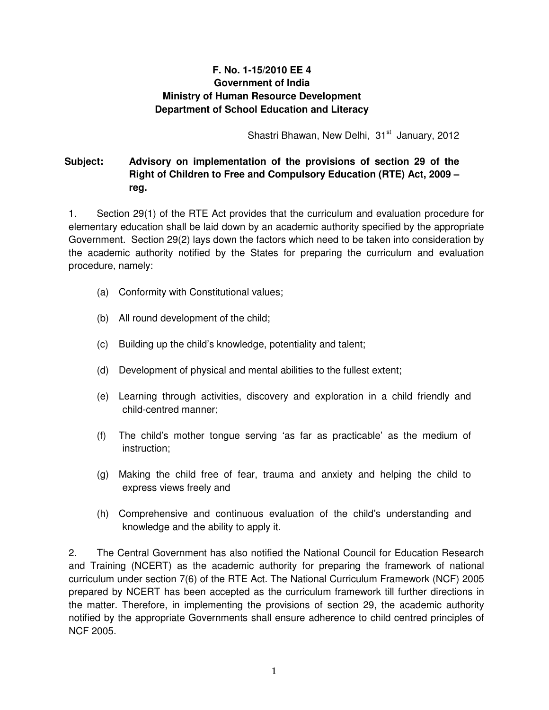## **F. No. 1-15/2010 EE 4 Government of India Ministry of Human Resource Development Department of School Education and Literacy**

Shastri Bhawan, New Delhi, 31<sup>st</sup> January, 2012

## **Subject: Advisory on implementation of the provisions of section 29 of the Right of Children to Free and Compulsory Education (RTE) Act, 2009 – reg.**

1. Section 29(1) of the RTE Act provides that the curriculum and evaluation procedure for elementary education shall be laid down by an academic authority specified by the appropriate Government. Section 29(2) lays down the factors which need to be taken into consideration by the academic authority notified by the States for preparing the curriculum and evaluation procedure, namely:

- (a) Conformity with Constitutional values;
- (b) All round development of the child;
- (c) Building up the child's knowledge, potentiality and talent;
- (d) Development of physical and mental abilities to the fullest extent;
- (e) Learning through activities, discovery and exploration in a child friendly and child-centred manner;
- (f) The child's mother tongue serving 'as far as practicable' as the medium of instruction;
- (g) Making the child free of fear, trauma and anxiety and helping the child to express views freely and
- (h) Comprehensive and continuous evaluation of the child's understanding and knowledge and the ability to apply it.

2. The Central Government has also notified the National Council for Education Research and Training (NCERT) as the academic authority for preparing the framework of national curriculum under section 7(6) of the RTE Act. The National Curriculum Framework (NCF) 2005 prepared by NCERT has been accepted as the curriculum framework till further directions in the matter. Therefore, in implementing the provisions of section 29, the academic authority notified by the appropriate Governments shall ensure adherence to child centred principles of NCF 2005.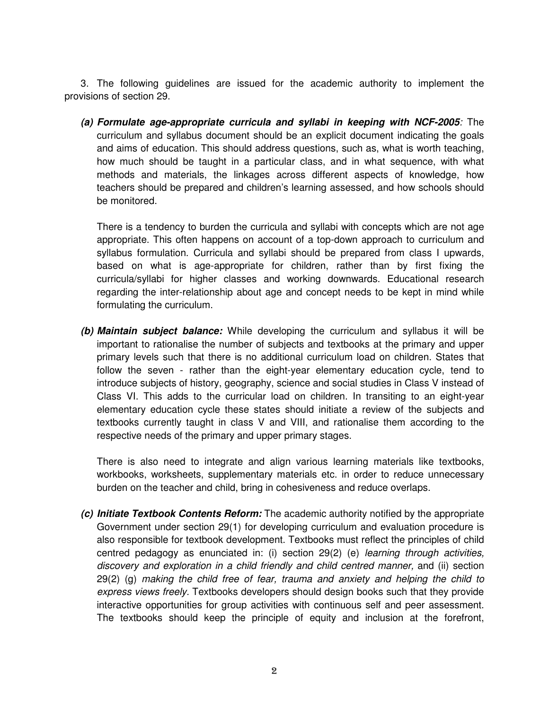3. The following guidelines are issued for the academic authority to implement the provisions of section 29.

**(a) Formulate age-appropriate curricula and syllabi in keeping with NCF-2005**: The curriculum and syllabus document should be an explicit document indicating the goals and aims of education. This should address questions, such as, what is worth teaching, how much should be taught in a particular class, and in what sequence, with what methods and materials, the linkages across different aspects of knowledge, how teachers should be prepared and children's learning assessed, and how schools should be monitored.

There is a tendency to burden the curricula and syllabi with concepts which are not age appropriate. This often happens on account of a top-down approach to curriculum and syllabus formulation. Curricula and syllabi should be prepared from class I upwards, based on what is age-appropriate for children, rather than by first fixing the curricula/syllabi for higher classes and working downwards. Educational research regarding the inter-relationship about age and concept needs to be kept in mind while formulating the curriculum.

**(b) Maintain subject balance:** While developing the curriculum and syllabus it will be important to rationalise the number of subjects and textbooks at the primary and upper primary levels such that there is no additional curriculum load on children. States that follow the seven - rather than the eight-year elementary education cycle, tend to introduce subjects of history, geography, science and social studies in Class V instead of Class VI. This adds to the curricular load on children. In transiting to an eight-year elementary education cycle these states should initiate a review of the subjects and textbooks currently taught in class V and VIII, and rationalise them according to the respective needs of the primary and upper primary stages.

There is also need to integrate and align various learning materials like textbooks, workbooks, worksheets, supplementary materials etc. in order to reduce unnecessary burden on the teacher and child, bring in cohesiveness and reduce overlaps.

**(c) Initiate Textbook Contents Reform:** The academic authority notified by the appropriate Government under section 29(1) for developing curriculum and evaluation procedure is also responsible for textbook development. Textbooks must reflect the principles of child centred pedagogy as enunciated in: (i) section 29(2) (e) learning through activities, discovery and exploration in a child friendly and child centred manner, and (ii) section 29(2) (g) making the child free of fear, trauma and anxiety and helping the child to express views freely. Textbooks developers should design books such that they provide interactive opportunities for group activities with continuous self and peer assessment. The textbooks should keep the principle of equity and inclusion at the forefront,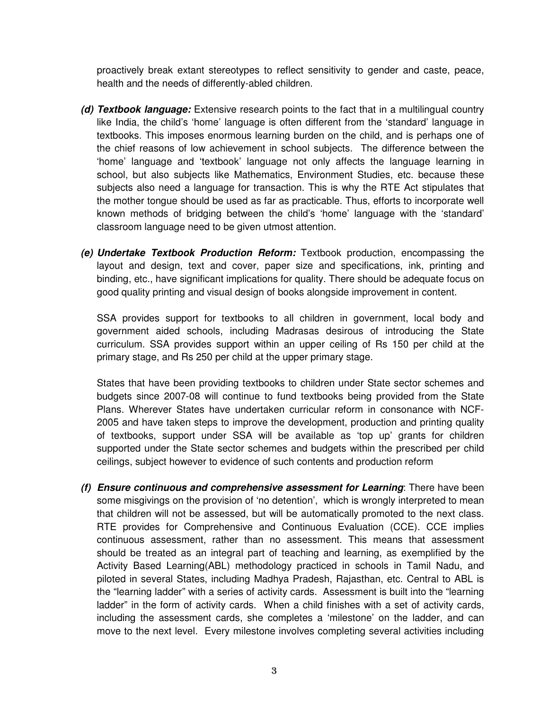proactively break extant stereotypes to reflect sensitivity to gender and caste, peace, health and the needs of differently-abled children.

- **(d) Textbook language:** Extensive research points to the fact that in a multilingual country like India, the child's 'home' language is often different from the 'standard' language in textbooks. This imposes enormous learning burden on the child, and is perhaps one of the chief reasons of low achievement in school subjects. The difference between the 'home' language and 'textbook' language not only affects the language learning in school, but also subjects like Mathematics, Environment Studies, etc. because these subjects also need a language for transaction. This is why the RTE Act stipulates that the mother tongue should be used as far as practicable. Thus, efforts to incorporate well known methods of bridging between the child's 'home' language with the 'standard' classroom language need to be given utmost attention.
- **(e) Undertake Textbook Production Reform:** Textbook production, encompassing the layout and design, text and cover, paper size and specifications, ink, printing and binding, etc., have significant implications for quality. There should be adequate focus on good quality printing and visual design of books alongside improvement in content.

SSA provides support for textbooks to all children in government, local body and government aided schools, including Madrasas desirous of introducing the State curriculum. SSA provides support within an upper ceiling of Rs 150 per child at the primary stage, and Rs 250 per child at the upper primary stage.

States that have been providing textbooks to children under State sector schemes and budgets since 2007-08 will continue to fund textbooks being provided from the State Plans. Wherever States have undertaken curricular reform in consonance with NCF-2005 and have taken steps to improve the development, production and printing quality of textbooks, support under SSA will be available as 'top up' grants for children supported under the State sector schemes and budgets within the prescribed per child ceilings, subject however to evidence of such contents and production reform

**(f) Ensure continuous and comprehensive assessment for Learning**: There have been some misgivings on the provision of 'no detention', which is wrongly interpreted to mean that children will not be assessed, but will be automatically promoted to the next class. RTE provides for Comprehensive and Continuous Evaluation (CCE). CCE implies continuous assessment, rather than no assessment. This means that assessment should be treated as an integral part of teaching and learning, as exemplified by the Activity Based Learning(ABL) methodology practiced in schools in Tamil Nadu, and piloted in several States, including Madhya Pradesh, Rajasthan, etc. Central to ABL is the "learning ladder" with a series of activity cards. Assessment is built into the "learning ladder" in the form of activity cards. When a child finishes with a set of activity cards, including the assessment cards, she completes a 'milestone' on the ladder, and can move to the next level. Every milestone involves completing several activities including